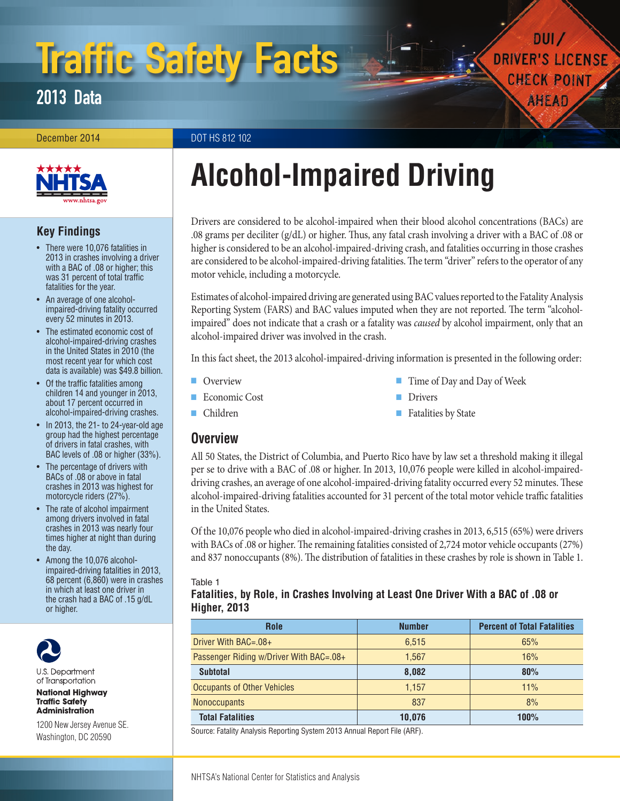# Traffic Safety Facts

2013 Data

December 2014 DOT HS 812 102



# **Key Findings**

- There were 10,076 fatalities in 2013 in crashes involving a driver with a BAC of .08 or higher; this was 31 percent of total traffic fatalities for the year.
- An average of one alcoholimpaired-driving fatality occurred every 52 minutes in 2013.
- The estimated economic cost of alcohol-impaired-driving crashes in the United States in 2010 (the most recent year for which cost data is available) was \$49.8 billion.
- Of the traffic fatalities among children 14 and younger in 2013, about 17 percent occurred in alcohol-impaired-driving crashes.
- In 2013, the 21- to 24-year-old age group had the highest percentage of drivers in fatal crashes, with BAC levels of .08 or higher (33%).
- The percentage of drivers with BACs of .08 or above in fatal crashes in 2013 was highest for motorcycle riders (27%).
- The rate of alcohol impairment among drivers involved in fatal crashes in 2013 was nearly four times higher at night than during the day.
- Among the 10,076 alcoholimpaired-driving fatalities in 2013, 68 percent (6,860) were in crashes in which at least one driver in the crash had a BAC of .15 g/dL or higher.



U.S. Department of Transportation

**National Highway Traffic Safety Administration** 

1200 New Jersey Avenue SE. Washington, DC 20590

# **Alcohol-Impaired Driving**

Drivers are considered to be alcohol-impaired when their blood alcohol concentrations (BACs) are .08 grams per deciliter (g/dL) or higher. Thus, any fatal crash involving a driver with a BAC of .08 or higher is considered to be an alcohol-impaired-driving crash, and fatalities occurring in those crashes are considered to be alcohol-impaired-driving fatalities. The term "driver" refers to the operator of any motor vehicle, including a motorcycle.

Estimates of alcohol-impaired driving are generated using BAC values reported to the Fatality Analysis Reporting System (FARS) and BAC values imputed when they are not reported. The term "alcoholimpaired" does not indicate that a crash or a fatality was *caused* by alcohol impairment, only that an alcohol-impaired driver was involved in the crash.

In this fact sheet, the 2013 alcohol-impaired-driving information is presented in the following order:

■ [Overview](#page-0-0)

■ [Time of Day and Day of Week](#page-1-2)

 $DUI$ **DRIVER'S LICENSE** 

**CHECK POINT** 

AHEAD

[Economic Cost](#page-1-0)

**[Drivers](#page-3-0)** ■ [Fatalities by State](#page-5-0)

- [Children](#page-1-1)
- <span id="page-0-0"></span>**Overview**

All 50 States, the District of Columbia, and Puerto Rico have by law set a threshold making it illegal per se to drive with a BAC of .08 or higher. In 2013, 10,076 people were killed in alcohol-impaireddriving crashes, an average of one alcohol-impaired-driving fatality occurred every 52 minutes. These alcohol-impaired-driving fatalities accounted for 31 percent of the total motor vehicle traffic fatalities in the United States.

Of the 10,076 people who died in alcohol-impaired-driving crashes in 2013, 6,515 (65%) were drivers with BACs of .08 or higher. The remaining fatalities consisted of 2,724 motor vehicle occupants (27%) and 837 nonoccupants (8%). The distribution of fatalities in these crashes by role is shown in Table 1.

#### Table 1

#### **Fatalities, by Role, in Crashes Involving at Least One Driver With a BAC of .08 or Higher, 2013**

| <b>Role</b>                             | <b>Number</b> | <b>Percent of Total Fatalities</b> |
|-----------------------------------------|---------------|------------------------------------|
| Driver With $BAC = .08 +$               | 6.515         | 65%                                |
| Passenger Riding w/Driver With BAC=.08+ | 1.567         | 16%                                |
| <b>Subtotal</b>                         | 8.082         | 80%                                |
| <b>Occupants of Other Vehicles</b>      | 1.157         | 11%                                |
| <b>Nonoccupants</b>                     | 837           | 8%                                 |
| <b>Total Fatalities</b>                 | 10,076        | 100%                               |

Source: Fatality Analysis Reporting System 2013 Annual Report File (ARF).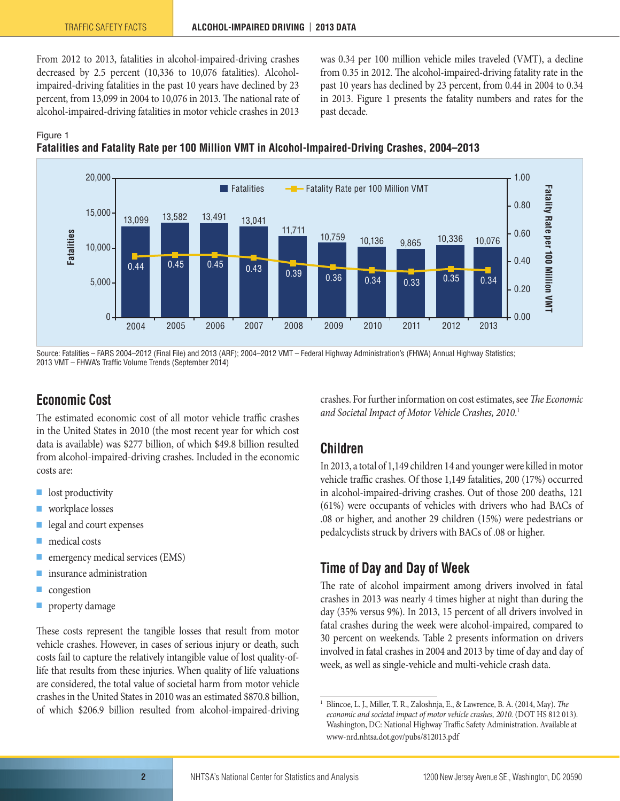From 2012 to 2013, fatalities in alcohol-impaired-driving crashes decreased by 2.5 percent (10,336 to 10,076 fatalities). Alcoholimpaired-driving fatalities in the past 10 years have declined by 23 percent, from 13,099 in 2004 to 10,076 in 2013. The national rate of alcohol-impaired-driving fatalities in motor vehicle crashes in 2013 was 0.34 per 100 million vehicle miles traveled (VMT), a decline from 0.35 in 2012. The alcohol-impaired-driving fatality rate in the past 10 years has declined by 23 percent, from 0.44 in 2004 to 0.34 in 2013. Figure 1 presents the fatality numbers and rates for the past decade.

#### Figure 1





Source: Fatalities – FARS 2004–2012 (Final File) and 2013 (ARF); 2004–2012 VMT – Federal Highway Administration's (FHWA) Annual Highway Statistics; 2013 VMT – FHWA's Traffic Volume Trends (September 2014)

# <span id="page-1-0"></span>**Economic Cost**

The estimated economic cost of all motor vehicle traffic crashes in the United States in 2010 (the most recent year for which cost data is available) was \$277 billion, of which \$49.8 billion resulted from alcohol-impaired-driving crashes. Included in the economic costs are:

- lost productivity
- workplace losses
- legal and court expenses
- medical costs
- emergency medical services (EMS)
- insurance administration
- congestion
- property damage

These costs represent the tangible losses that result from motor vehicle crashes. However, in cases of serious injury or death, such costs fail to capture the relatively intangible value of lost quality-oflife that results from these injuries. When quality of life valuations are considered, the total value of societal harm from motor vehicle crashes in the United States in 2010 was an estimated \$870.8 billion, of which \$206.9 billion resulted from alcohol-impaired-driving crashes. For further information on cost estimates, see *The Economic and Societal Impact of Motor Vehicle Crashes, 2010*. 1

# <span id="page-1-1"></span>**Children**

In 2013, a total of 1,149 children 14 and younger were killed in motor vehicle traffic crashes. Of those 1,149 fatalities, 200 (17%) occurred in alcohol-impaired-driving crashes. Out of those 200 deaths, 121 (61%) were occupants of vehicles with drivers who had BACs of .08 or higher, and another 29 children (15%) were pedestrians or pedalcyclists struck by drivers with BACs of .08 or higher.

# <span id="page-1-2"></span>**Time of Day and Day of Week**

The rate of alcohol impairment among drivers involved in fatal crashes in 2013 was nearly 4 times higher at night than during the day (35% versus 9%). In 2013, 15 percent of all drivers involved in fatal crashes during the week were alcohol-impaired, compared to 30 percent on weekends. Table 2 presents information on drivers involved in fatal crashes in 2004 and 2013 by time of day and day of week, as well as single-vehicle and multi-vehicle crash data.

<sup>1</sup> Blincoe, L. J., Miller, T. R., Zaloshnja, E., & Lawrence, B. A. (2014, May). *The economic and societal impact of motor vehicle crashes, 2010.* (DOT HS 812 013). Washington, DC: National Highway Traffic Safety Administration. Available at [www-nrd.nhtsa.dot.gov/pubs/812013.pdf](http://www-nrd.nhtsa.dot.gov/pubs/812013.pdf)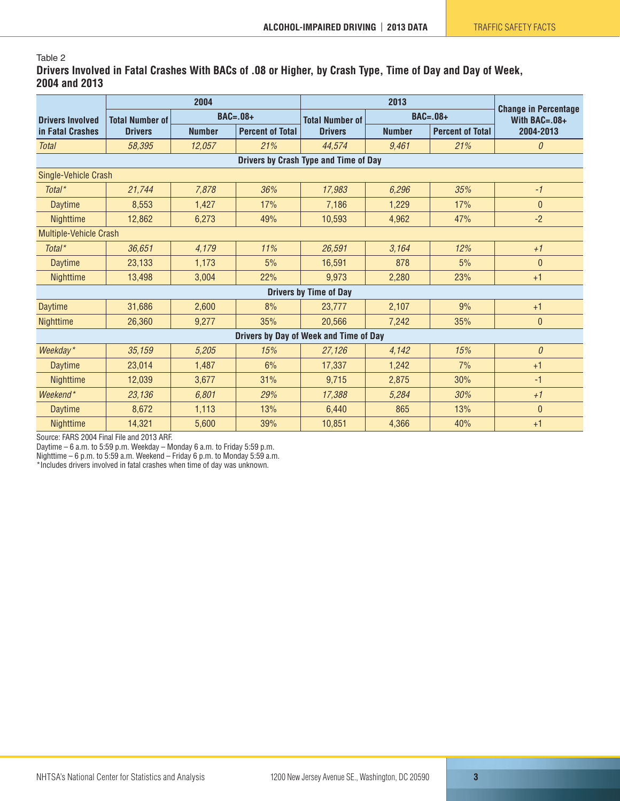#### Table 2

**Drivers Involved in Fatal Crashes With BACs of .08 or Higher, by Crash Type, Time of Day and Day of Week, 2004 and 2013**

|                                        |                                           | 2004          |                         |                        |               |                         |                                                   |  |  |
|----------------------------------------|-------------------------------------------|---------------|-------------------------|------------------------|---------------|-------------------------|---------------------------------------------------|--|--|
| <b>Drivers Involved</b>                | <b>BAC=.08+</b><br><b>Total Number of</b> |               |                         | <b>Total Number of</b> |               | <b>BAC=.08+</b>         | <b>Change in Percentage</b><br>With $BAC = .08 +$ |  |  |
| in Fatal Crashes                       | <b>Drivers</b>                            | <b>Number</b> | <b>Percent of Total</b> | <b>Drivers</b>         | <b>Number</b> | <b>Percent of Total</b> | 2004-2013                                         |  |  |
| <b>Total</b>                           | 58,395                                    | 12,057        | 21%                     | 44,574                 | 9.461         | 21%                     | 0                                                 |  |  |
| Drivers by Crash Type and Time of Day  |                                           |               |                         |                        |               |                         |                                                   |  |  |
| Single-Vehicle Crash                   |                                           |               |                         |                        |               |                         |                                                   |  |  |
| Total*                                 | 21,744                                    | 7,878         | 36%                     | 17,983                 | 6,296         | 35%                     | $-1$                                              |  |  |
| <b>Daytime</b>                         | 8,553                                     | 1,427         | 17%                     | 7,186                  | 1,229         | 17%                     | $\overline{0}$                                    |  |  |
| Nighttime                              | 12,862                                    | 6,273         | 49%                     | 10,593                 | 4,962         | 47%                     | $-2$                                              |  |  |
| Multiple-Vehicle Crash                 |                                           |               |                         |                        |               |                         |                                                   |  |  |
| Total <sup>*</sup>                     | 36,651                                    | 4,179         | 11%                     | 26,591                 | 3,164         | 12%                     | $+1$                                              |  |  |
| <b>Daytime</b>                         | 23,133                                    | 1,173         | 5%                      | 16,591                 | 878           | 5%                      | $\mathbf{0}$                                      |  |  |
| <b>Nighttime</b>                       | 13,498                                    | 3,004         | 22%                     | 9,973                  | 2,280         | 23%                     | $+1$                                              |  |  |
| <b>Drivers by Time of Day</b>          |                                           |               |                         |                        |               |                         |                                                   |  |  |
| <b>Daytime</b>                         | 31,686                                    | 2,600         | 8%                      | 23,777                 | 2,107         | 9%                      | $+1$                                              |  |  |
| <b>Nighttime</b>                       | 26,360                                    | 9,277         | 35%                     | 20,566                 | 7,242         | 35%                     | $\mathbf{0}$                                      |  |  |
| Drivers by Day of Week and Time of Day |                                           |               |                         |                        |               |                         |                                                   |  |  |
| Weekday*                               | 35,159                                    | 5,205         | 15%                     | 27,126                 | 4,142         | 15%                     | $\theta$                                          |  |  |
| Daytime                                | 23,014                                    | 1,487         | 6%                      | 17,337                 | 1,242         | 7%                      | $+1$                                              |  |  |
| <b>Nighttime</b>                       | 12,039                                    | 3,677         | 31%                     | 9,715                  | 2,875         | 30%                     | $-1$                                              |  |  |
| Weekend*                               | 23,136                                    | 6,801         | 29%                     | 17,388                 | 5,284         | 30%                     | $+1$                                              |  |  |
| <b>Daytime</b>                         | 8,672                                     | 1,113         | 13%                     | 6,440                  | 865           | 13%                     | $\overline{0}$                                    |  |  |
| Nighttime                              | 14,321                                    | 5,600         | 39%                     | 10,851                 | 4,366         | 40%                     | $+1$                                              |  |  |

Source: FARS 2004 Final File and 2013 ARF.

Daytime – 6 a.m. to 5:59 p.m. Weekday – Monday 6 a.m. to Friday 5:59 p.m.

Nighttime – 6 p.m. to 5:59 a.m. Weekend – Friday 6 p.m. to Monday 5:59 a.m.

\*Includes drivers involved in fatal crashes when time of day was unknown.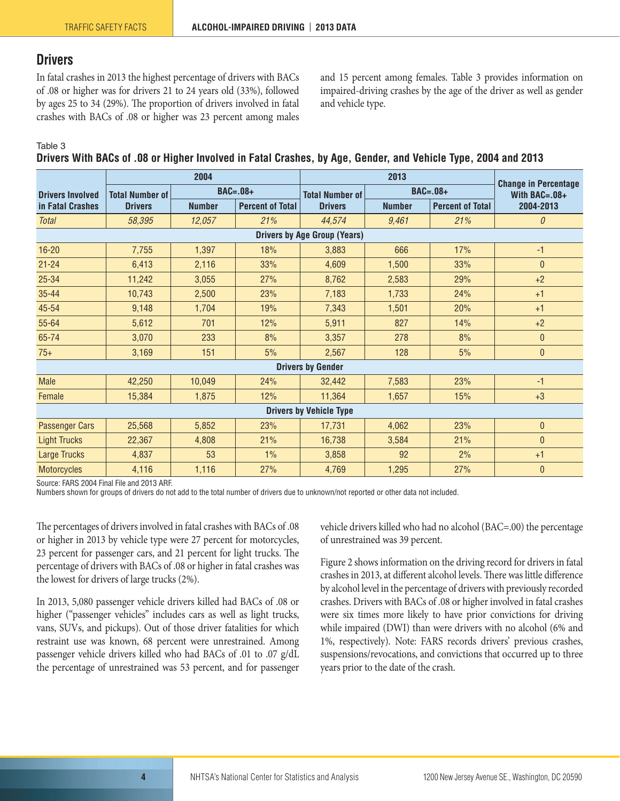### <span id="page-3-0"></span>**Drivers**

In fatal crashes in 2013 the highest percentage of drivers with BACs of .08 or higher was for drivers 21 to 24 years old (33%), followed by ages 25 to 34 (29%). The proportion of drivers involved in fatal crashes with BACs of .08 or higher was 23 percent among males and 15 percent among females. Table 3 provides information on impaired-driving crashes by the age of the driver as well as gender and vehicle type.

Table 3

**Drivers With BACs of .08 or Higher Involved in Fatal Crashes, by Age, Gender, and Vehicle Type, 2004 and 2013**

|                                             |                        | 2004          |                         |                        | <b>Change in Percentage</b> |                         |                  |  |  |  |
|---------------------------------------------|------------------------|---------------|-------------------------|------------------------|-----------------------------|-------------------------|------------------|--|--|--|
| <b>Drivers Involved</b><br>in Fatal Crashes | <b>Total Number of</b> | $BAC=.08+$    |                         | <b>Total Number of</b> |                             | $BAC=.08+$              | With BAC= $.08+$ |  |  |  |
|                                             | <b>Drivers</b>         | <b>Number</b> | <b>Percent of Total</b> | <b>Drivers</b>         | <b>Number</b>               | <b>Percent of Total</b> | 2004-2013        |  |  |  |
| <b>Total</b>                                | 58,395                 | 12,057        | 21%                     | 44,574                 | 9,461                       | 21%                     | $\theta$         |  |  |  |
| <b>Drivers by Age Group (Years)</b>         |                        |               |                         |                        |                             |                         |                  |  |  |  |
| $16 - 20$                                   | 7,755                  | 1,397         | 18%                     | 3,883                  | 666                         | 17%                     | $-1$             |  |  |  |
| $21 - 24$                                   | 6,413                  | 2,116         | 33%                     | 4,609                  | 1,500                       | 33%                     | $\theta$         |  |  |  |
| $25 - 34$                                   | 11,242                 | 3,055         | 27%                     | 8,762                  | 2,583                       | 29%                     | $+2$             |  |  |  |
| $35 - 44$                                   | 10,743                 | 2,500         | 23%                     | 7,183                  | 1,733                       | 24%                     | $+1$             |  |  |  |
| 45-54                                       | 9,148                  | 1,704         | 19%                     | 7,343                  | 1,501                       | 20%                     | $+1$             |  |  |  |
| 55-64                                       | 5,612                  | 701           | 12%                     | 5,911                  | 827                         | 14%                     | $+2$             |  |  |  |
| 65-74                                       | 3,070                  | 233           | 8%                      | 3,357                  | 278                         | 8%                      | $\theta$         |  |  |  |
| $75+$                                       | 3,169                  | 151           | 5%                      | 2,567                  | 128                         | 5%                      | $\mathbf{0}$     |  |  |  |
| <b>Drivers by Gender</b>                    |                        |               |                         |                        |                             |                         |                  |  |  |  |
| <b>Male</b>                                 | 42,250                 | 10,049        | 24%                     | 32,442                 | 7,583                       | 23%                     | $-1$             |  |  |  |
| Female                                      | 15,384                 | 1,875         | 12%                     | 11,364                 | 1,657                       | 15%                     | $+3$             |  |  |  |
| <b>Drivers by Vehicle Type</b>              |                        |               |                         |                        |                             |                         |                  |  |  |  |
| <b>Passenger Cars</b>                       | 25,568                 | 5,852         | 23%                     | 17,731                 | 4,062                       | 23%                     | $\theta$         |  |  |  |
| <b>Light Trucks</b>                         | 22,367                 | 4,808         | 21%                     | 16,738                 | 3,584                       | 21%                     | $\mathbf{0}$     |  |  |  |
| Large Trucks                                | 4,837                  | 53            | 1%                      | 3,858                  | 92                          | 2%                      | $+1$             |  |  |  |
| <b>Motorcycles</b>                          | 4,116                  | 1,116         | 27%                     | 4,769                  | 1,295                       | 27%                     | $\theta$         |  |  |  |

Source: FARS 2004 Final File and 2013 ARF.

Numbers shown for groups of drivers do not add to the total number of drivers due to unknown/not reported or other data not included.

The percentages of drivers involved in fatal crashes with BACs of .08 or higher in 2013 by vehicle type were 27 percent for motorcycles, 23 percent for passenger cars, and 21 percent for light trucks. The percentage of drivers with BACs of .08 or higher in fatal crashes was the lowest for drivers of large trucks (2%).

In 2013, 5,080 passenger vehicle drivers killed had BACs of .08 or higher ("passenger vehicles" includes cars as well as light trucks, vans, SUVs, and pickups). Out of those driver fatalities for which restraint use was known, 68 percent were unrestrained. Among passenger vehicle drivers killed who had BACs of .01 to .07 g/dL the percentage of unrestrained was 53 percent, and for passenger vehicle drivers killed who had no alcohol (BAC=.00) the percentage of unrestrained was 39 percent.

Figure 2 shows information on the driving record for drivers in fatal crashes in 2013, at different alcohol levels. There was little difference by alcohol level in the percentage of drivers with previously recorded crashes. Drivers with BACs of .08 or higher involved in fatal crashes were six times more likely to have prior convictions for driving while impaired (DWI) than were drivers with no alcohol (6% and 1%, respectively). Note: FARS records drivers' previous crashes, suspensions/revocations, and convictions that occurred up to three years prior to the date of the crash.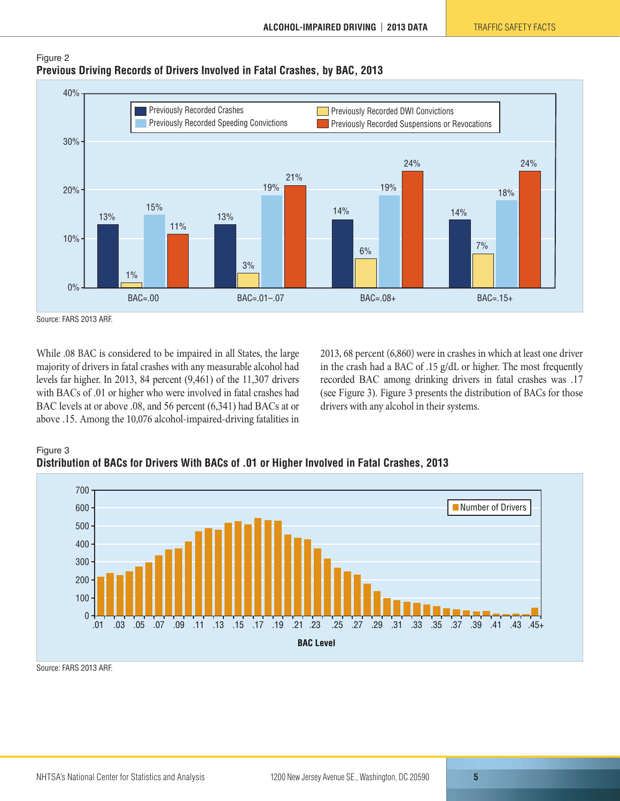

#### Figure 2 **Previous Driving Records of Drivers Involved in Fatal Crashes, by BAC, 2013**

While .08 BAC is considered to be impaired in all States, the large majority of drivers in fatal crashes with any measurable alcohol had levels far higher. In 2013, 84 percent (9,461) of the 11,307 drivers with BACs of .01 or higher who were involved in fatal crashes had BAC levels at or above .08, and 56 percent (6,341) had BACs at or above .15. Among the 10,076 alcohol-impaired-driving fatalities in 2013, 68 percent (6,860) were in crashes in which at least one driver in the crash had a BAC of .15 g/dL or higher. The most frequently recorded BAC among drinking drivers in fatal crashes was .17 (see Figure 3). Figure 3 presents the distribution of BACs for those drivers with any alcohol in their systems.





Source: FARS 2013 ARF.

Source: FARS 2013 ARF.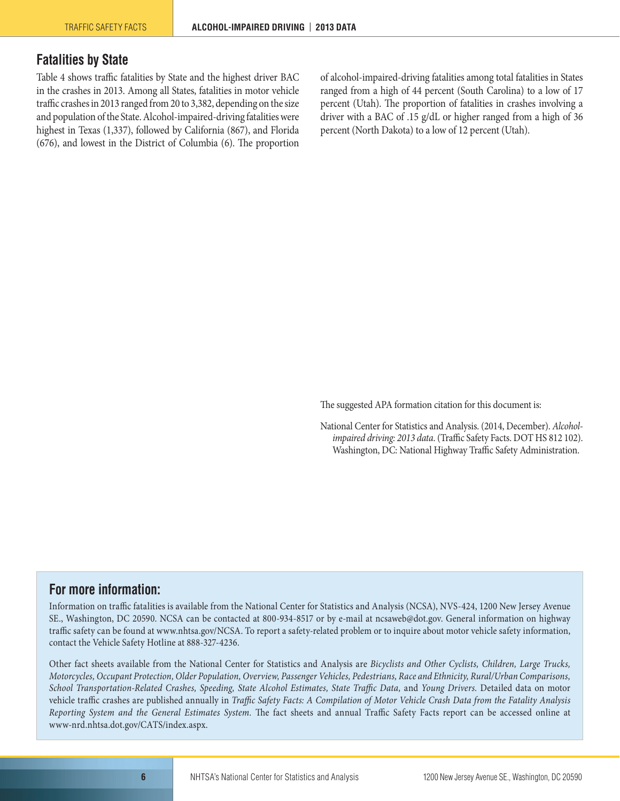## <span id="page-5-0"></span>**Fatalities by State**

Table 4 shows traffic fatalities by State and the highest driver BAC in the crashes in 2013. Among all States, fatalities in motor vehicle traffic crashes in 2013 ranged from 20 to 3,382, depending on the size and population of the State. Alcohol-impaired-driving fatalities were highest in Texas (1,337), followed by California (867), and Florida (676), and lowest in the District of Columbia (6). The proportion of alcohol-impaired-driving fatalities among total fatalities in States ranged from a high of 44 percent (South Carolina) to a low of 17 percent (Utah). The proportion of fatalities in crashes involving a driver with a BAC of .15 g/dL or higher ranged from a high of 36 percent (North Dakota) to a low of 12 percent (Utah).

The suggested APA formation citation for this document is:

National Center for Statistics and Analysis. (2014, December). *Alcoholimpaired driving: 2013 data*. (Traffic Safety Facts. DOT HS 812 102). Washington, DC: National Highway Traffic Safety Administration.

#### **For more information:**

Information on traffic fatalities is available from the National Center for Statistics and Analysis (NCSA), NVS-424, 1200 New Jersey Avenue SE., Washington, DC 20590. NCSA can be contacted at 800-934-8517 or by e-mail at [ncsaweb@dot.gov](mailto:ncsaweb@dot.gov). General information on highway traffic safety can be found at [www.nhtsa.gov/NCSA.](http://www.nhtsa.gov/NCSA) To report a safety-related problem or to inquire about motor vehicle safety information, contact the Vehicle Safety Hotline at 888-327-4236.

Other fact sheets available from the National Center for Statistics and Analysis are *Bicyclists and Other Cyclists, Children, Large Trucks, Motorcycles, Occupant Protection, Older Population, Overview, Passenger Vehicles, Pedestrians, Race and Ethnicity, Rural/Urban Comparisons, School Transportation-Related Crashes, Speeding, State Alcohol Estimates, State Traffic Data,* and *Young Drivers.* Detailed data on motor vehicle traffic crashes are published annually in *Traffic Safety Facts: A Compilation of Motor Vehicle Crash Data from the Fatality Analysis Reporting System and the General Estimates System.* The fact sheets and annual Traffic Safety Facts report can be accessed online at [www-nrd.nhtsa.dot.gov/CATS/index.aspx](http://www-nrd.nhtsa.dot.gov/CATS/index.aspx).